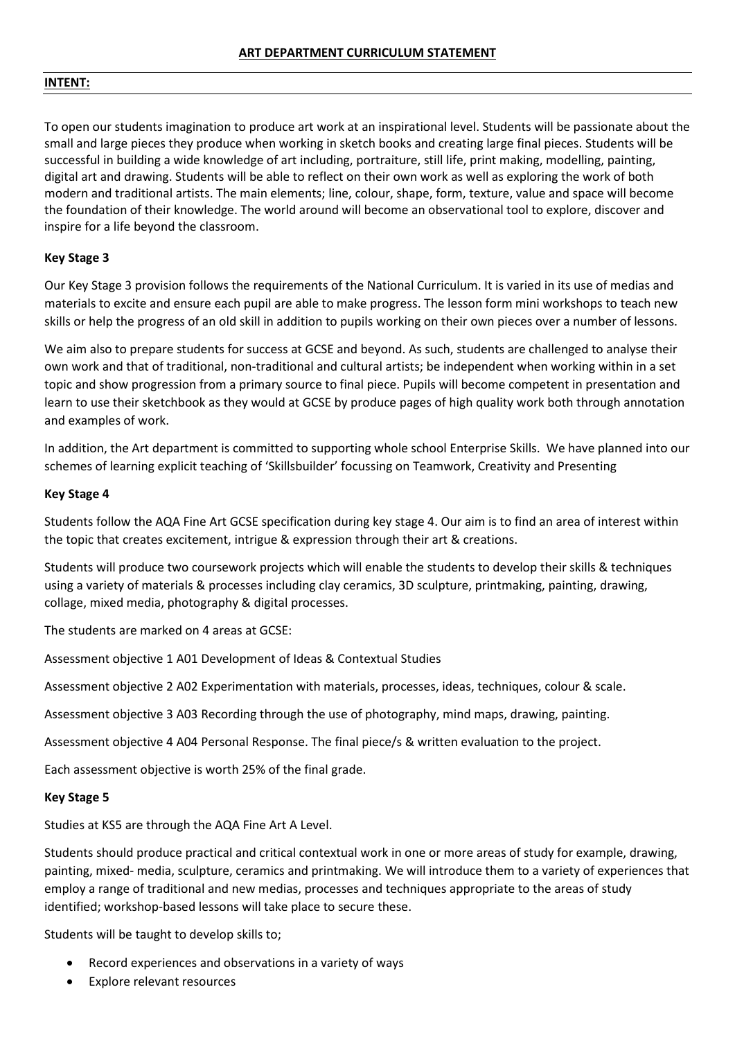## **INTENT:**

To open our students imagination to produce art work at an inspirational level. Students will be passionate about the small and large pieces they produce when working in sketch books and creating large final pieces. Students will be successful in building a wide knowledge of art including, portraiture, still life, print making, modelling, painting, digital art and drawing. Students will be able to reflect on their own work as well as exploring the work of both modern and traditional artists. The main elements; line, colour, shape, form, texture, value and space will become the foundation of their knowledge. The world around will become an observational tool to explore, discover and inspire for a life beyond the classroom.

# **Key Stage 3**

Our Key Stage 3 provision follows the requirements of the National Curriculum. It is varied in its use of medias and materials to excite and ensure each pupil are able to make progress. The lesson form mini workshops to teach new skills or help the progress of an old skill in addition to pupils working on their own pieces over a number of lessons.

We aim also to prepare students for success at GCSE and beyond. As such, students are challenged to analyse their own work and that of traditional, non-traditional and cultural artists; be independent when working within in a set topic and show progression from a primary source to final piece. Pupils will become competent in presentation and learn to use their sketchbook as they would at GCSE by produce pages of high quality work both through annotation and examples of work.

In addition, the Art department is committed to supporting whole school Enterprise Skills. We have planned into our schemes of learning explicit teaching of 'Skillsbuilder' focussing on Teamwork, Creativity and Presenting

# **Key Stage 4**

Students follow the AQA Fine Art GCSE specification during key stage 4. Our aim is to find an area of interest within the topic that creates excitement, intrigue & expression through their art & creations.

Students will produce two coursework projects which will enable the students to develop their skills & techniques using a variety of materials & processes including clay ceramics, 3D sculpture, printmaking, painting, drawing, collage, mixed media, photography & digital processes.

The students are marked on 4 areas at GCSE:

Assessment objective 1 A01 Development of Ideas & Contextual Studies

Assessment objective 2 A02 Experimentation with materials, processes, ideas, techniques, colour & scale.

Assessment objective 3 A03 Recording through the use of photography, mind maps, drawing, painting.

Assessment objective 4 A04 Personal Response. The final piece/s & written evaluation to the project.

Each assessment objective is worth 25% of the final grade.

## **Key Stage 5**

Studies at KS5 are through the AQA Fine Art A Level.

Students should produce practical and critical contextual work in one or more areas of study for example, drawing, painting, mixed- media, sculpture, ceramics and printmaking. We will introduce them to a variety of experiences that employ a range of traditional and new medias, processes and techniques appropriate to the areas of study identified; workshop-based lessons will take place to secure these.

Students will be taught to develop skills to;

- Record experiences and observations in a variety of ways
- Explore relevant resources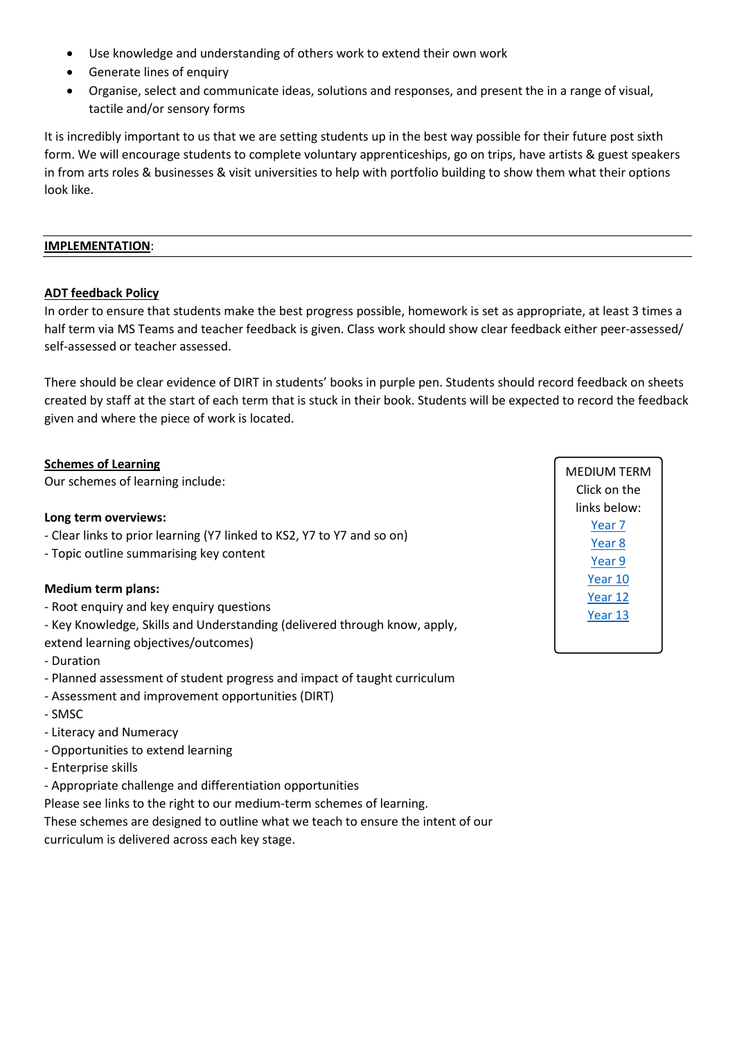- Use knowledge and understanding of others work to extend their own work
- Generate lines of enquiry
- Organise, select and communicate ideas, solutions and responses, and present the in a range of visual, tactile and/or sensory forms

It is incredibly important to us that we are setting students up in the best way possible for their future post sixth form. We will encourage students to complete voluntary apprenticeships, go on trips, have artists & guest speakers in from arts roles & businesses & visit universities to help with portfolio building to show them what their options look like.

## **IMPLEMENTATION**:

# **ADT feedback Policy**

In order to ensure that students make the best progress possible, homework is set as appropriate, at least 3 times a half term via MS Teams and teacher feedback is given. Class work should show clear feedback either peer-assessed/ self-assessed or teacher assessed.

There should be clear evidence of DIRT in students' books in purple pen. Students should record feedback on sheets created by staff at the start of each term that is stuck in their book. Students will be expected to record the feedback given and where the piece of work is located.

# **Schemes of Learning**

Our schemes of learning include:

# **Long term overviews:**

- Clear links to prior learning (Y7 linked to KS2, Y7 to Y7 and so on)
- Topic outline summarising key content

# **Medium term plans:**

- Root enquiry and key enquiry questions
- Key Knowledge, Skills and Understanding (delivered through know, apply,
- extend learning objectives/outcomes)
- Duration
- Planned assessment of student progress and impact of taught curriculum
- Assessment and improvement opportunities (DIRT)
- SMSC
- Literacy and Numeracy
- Opportunities to extend learning
- Enterprise skills
- Appropriate challenge and differentiation opportunities

Please see links to the right to our medium-term schemes of learning.

These schemes are designed to outline what we teach to ensure the intent of our curriculum is delivered across each key stage.

MEDIUM TERM Click on the links below: Year 7 Year 8 Year 9 Year 10 Year 12 Year 13